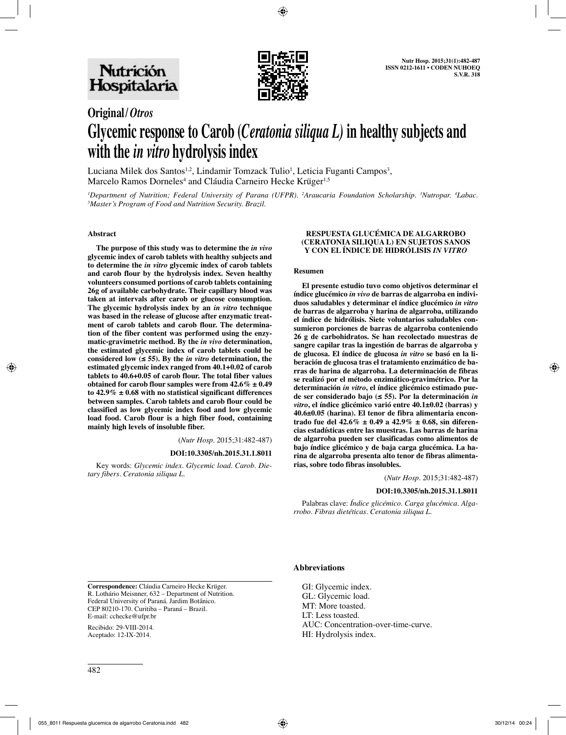

# **Original/***Otros*

# **Glycemic response to Carob (***Ceratonia siliqua L)* **in healthy subjects and with the** *in vitro* **hydrolysis index**

Luciana Milek dos Santos<sup>1,2</sup>, Lindamir Tomzack Tulio<sup>1</sup>, Leticia Fuganti Campos<sup>3</sup>, Marcelo Ramos Dorneles<sup>4</sup> and Cláudia Carneiro Hecke Krüger<sup>1,5</sup>

<sup>*I*</sup> Department of Nutrition; Federal University of Parana (UFPR). <sup>2</sup>Araucaria Foundation Scholarship. <sup>3</sup>Nutropar. <sup>4</sup>Labac.<br><sup>5</sup>Master's Program of Food and Nutrition Security Brazil *Master's Program of Food and Nutrition Security. Brazil.*

### **Abstract**

The purpose of this study was to determine the *in vivo* glycemic index of carob tablets with healthy subjects and to determine the *in vitro* glycemic index of carob tablets<br>and carob flour by the hydrolysis index. Seven healthy<br>volunteers consumed portions of carob tablets containing<br> $26g$  of available carbohydrate. Their capillary **ment of carob tablets and carob flour. The determination of the fiber content was performed using the enzy**matic-gravimetric method. By the *in vivo* determination,<br>the estimated glycemic index of carob tablets could be<br>considered low ( $\leq$  55). By the *in vitro* determination, the<br>estimated glycemic index ranged from 40.1+0.

(*Nutr Hosp.* 2015;31:482-487)

### **DOI:10.3305/nh.2015.31.1.8011**

Key words: *Glycemic index. Glycemic load. Carob. Dietary fibers. Ceratonia siliqua L.*

### **Respuesta glucémica de algarrobo (Ceratonia siliqua L) en sujetos sanos y con el índice de hidrólisis** *in vitro*

### **Resumen**

**El presente estudio tuvo como objetivos determinar el índice glucémico** *in vivo* **de barras de algarroba en individuos saludables y determinar el índice glucémico** *in vitro* **de barras de algarroba y harina de algarroba, utilizando el índice de hidrólisis. Siete voluntarios saludables con-**26 g de carbohidratos. Se han recolectado muestras de<br>sangre capilar tras la ingestión de barras de algarroba y<br>de glucosa. El índice de glucosa in vitro se basó en la li**beración de glucosa tras el tratamiento enzimático de barras de harina de algarroba. La determinación de fibras se realizó por el método enzimático-gravimétrico. Por la determinación** *in vitro***, el índice glicémico estimado puede ser considerado bajo (≤ 55). Por la determinación** *in*  **40.6±0.05** (harina). El tenor de fibra alimentaria encontrado fue del  $42.6\% \pm 0.49$  a  $42.9\% \pm 0.68$ , sin diferencias estadísticas entre las muestras. Las barras de harina **cias estadísticas entre las muestras. Las barras de harina de algarroba pueden ser clasificadas como alimentos de bajo índice glicémico y de baja carga glucémica. La harina de algarroba presenta alto tenor de fibras alimentarias, sobre todo fibras insolubles.**

(*Nutr Hosp.* 2015;31:482-487)

### **DOI:10.3305/nh.2015.31.1.8011**

Palabras clave: *Índice glicémico. Carga glucémica. Algarrobo. Fibras dietéticas. Ceratonia siliqua L.*

**Correspondence:** Cláudia Carneiro Hecke Krüger. R. Lothário Meisnner, 632 – Department of Nutrition. Federal University of Paraná. Jardim Botânico. CEP 80210-170. Curitiba – Paraná – Brazil. E-mail: cchecke@ufpr.br

Recibido: 29-VIII-2014. Aceptado: 12-IX-2014.

### **Abbreviations**

GI: Glycemic index. GL: Glycemic load. MT: More toasted. LT: Less toasted. AUC: Concentration-over-time-curve. HI: Hydrolysis index.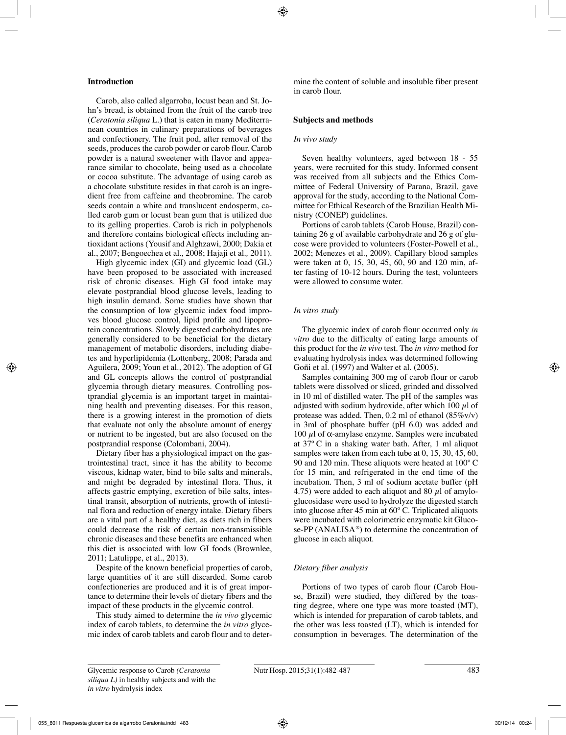### **Introduction**

Carob, also called algarroba, locust bean and St. John's bread, is obtained from the fruit of the carob tree (*Ceratonia siliqua* L.) that is eaten in many Mediterranean countries in culinary preparations of beverages and confectionery. The fruit pod, after removal of the seeds, produces the carob powder or carob flour. Carob powder is a natural sweetener with flavor and appearance similar to chocolate, being used as a chocolate or cocoa substitute. The advantage of using carob as a chocolate substitute resides in that carob is an ingredient free from caffeine and theobromine. The carob seeds contain a white and translucent endosperm, called carob gum or locust bean gum that is utilized due to its gelling properties. Carob is rich in polyphenols and therefore contains biological effects including antioxidant actions (Yousif and Alghzawi, 2000; Dakia et al., 2007; Bengoechea et al., 2008; Hajaji et al*.,* 2011).

High glycemic index (GI) and glycemic load (GL) have been proposed to be associated with increased risk of chronic diseases. High GI food intake may elevate postprandial blood glucose levels, leading to high insulin demand. Some studies have shown that the consumption of low glycemic index food improves blood glucose control, lipid profile and lipoprotein concentrations. Slowly digested carbohydrates are generally considered to be beneficial for the dietary management of metabolic disorders, including diabetes and hyperlipidemia (Lottenberg, 2008; Parada and Aguilera, 2009; Youn et al., 2012). The adoption of GI and GL concepts allows the control of postprandial glycemia through dietary measures. Controlling postprandial glycemia is an important target in maintaining health and preventing diseases. For this reason, there is a growing interest in the promotion of diets that evaluate not only the absolute amount of energy or nutrient to be ingested, but are also focused on the postprandial response (Colombani, 2004).

Dietary fiber has a physiological impact on the gastrointestinal tract, since it has the ability to become viscous, kidnap water, bind to bile salts and minerals, and might be degraded by intestinal flora. Thus, it affects gastric emptying, excretion of bile salts, intestinal transit, absorption of nutrients, growth of intestinal flora and reduction of energy intake. Dietary fibers are a vital part of a healthy diet, as diets rich in fibers could decrease the risk of certain non-transmissible chronic diseases and these benefits are enhanced when this diet is associated with low GI foods (Brownlee, 2011; Latulippe, et al., 2013).

Despite of the known beneficial properties of carob, large quantities of it are still discarded. Some carob confectioneries are produced and it is of great importance to determine their levels of dietary fibers and the impact of these products in the glycemic control.

This study aimed to determine the *in vivo* glycemic index of carob tablets, to determine the *in vitro* glycemic index of carob tablets and carob flour and to determine the content of soluble and insoluble fiber present in carob flour.

# **Subjects and methods**

### *In vivo study*

Seven healthy volunteers, aged between 18 - 55 years, were recruited for this study. Informed consent was received from all subjects and the Ethics Committee of Federal University of Parana, Brazil, gave approval for the study, according to the National Committee for Ethical Research of the Brazilian Health Ministry (CONEP) guidelines.

Portions of carob tablets (Carob House, Brazil) containing 26 g of available carbohydrate and 26 g of glucose were provided to volunteers (Foster-Powell et al., 2002; Menezes et al., 2009). Capillary blood samples were taken at 0, 15, 30, 45, 60, 90 and 120 min, after fasting of 10-12 hours. During the test, volunteers were allowed to consume water.

# *In vitro study*

The glycemic index of carob flour occurred only *in vitro* due to the difficulty of eating large amounts of this product for the *in vivo* test. The *in vitro* method for evaluating hydrolysis index was determined following Goñi et al. (1997) and Walter et al. (2005).

Samples containing 300 mg of carob flour or carob tablets were dissolved or sliced, grinded and dissolved in 10 ml of distilled water. The pH of the samples was adjusted with sodium hydroxide, after which 100  $\mu$ l of protease was added. Then,  $0.2$  ml of ethanol  $(85\%v/v)$ in 3ml of phosphate buffer (pH 6.0) was added and 100  $\mu$ l of α-amylase enzyme. Samples were incubated at 37º C in a shaking water bath. After, 1 ml aliquot samples were taken from each tube at 0, 15, 30, 45, 60, 90 and 120 min. These aliquots were heated at 100º C for 15 min, and refrigerated in the end time of the incubation. Then, 3 ml of sodium acetate buffer (pH 4.75) were added to each aliquot and 80  $\mu$ l of amyloglucosidase were used to hydrolyze the digested starch into glucose after 45 min at 60º C. Triplicated aliquots were incubated with colorimetric enzymatic kit Glucose-PP (ANALISA®) to determine the concentration of glucose in each aliquot.

# *Dietary fiber analysis*

Portions of two types of carob flour (Carob House, Brazil) were studied, they differed by the toasting degree, where one type was more toasted (MT), which is intended for preparation of carob tablets, and the other was less toasted (LT), which is intended for consumption in beverages. The determination of the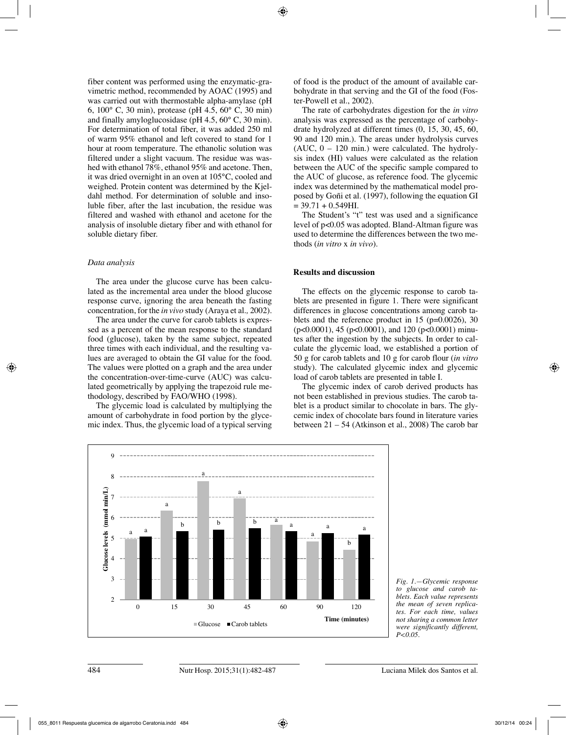fiber content was performed using the enzymatic-gravimetric method, recommended by AOAC (1995) and was carried out with thermostable alpha-amylase (pH 6, 100° C, 30 min), protease (pH 4.5, 60° C, 30 min) and finally amyloglucosidase (pH 4.5, 60° C, 30 min). For determination of total fiber, it was added 250 ml of warm 95% ethanol and left covered to stand for 1 hour at room temperature. The ethanolic solution was filtered under a slight vacuum. The residue was washed with ethanol 78%, ethanol 95% and acetone. Then, it was dried overnight in an oven at 105°C, cooled and weighed. Protein content was determined by the Kjeldahl method. For determination of soluble and insoluble fiber, after the last incubation, the residue was filtered and washed with ethanol and acetone for the analysis of insoluble dietary fiber and with ethanol for soluble dietary fiber.

### *Data analysis*

The area under the glucose curve has been calculated as the incremental area under the blood glucose response curve, ignoring the area beneath the fasting concentration, for the *in vivo* study (Araya et al*.,* 2002).

The area under the curve for carob tablets is expressed as a percent of the mean response to the standard food (glucose), taken by the same subject, repeated three times with each individual, and the resulting values are averaged to obtain the GI value for the food. The values were plotted on a graph and the area under the concentration-over-time-curve (AUC) was calculated geometrically by applying the trapezoid rule methodology, described by FAO/WHO (1998).

The glycemic load is calculated by multiplying the amount of carbohydrate in food portion by the glycemic index. Thus, the glycemic load of a typical serving of food is the product of the amount of available carbohydrate in that serving and the GI of the food (Foster-Powell et al., 2002).

The rate of carbohydrates digestion for the *in vitro*  analysis was expressed as the percentage of carbohydrate hydrolyzed at different times (0, 15, 30, 45, 60, 90 and 120 min.). The areas under hydrolysis curves  $(AUC, 0 - 120$  min.) were calculated. The hydrolysis index (HI) values were calculated as the relation between the AUC of the specific sample compared to the AUC of glucose, as reference food. The glycemic index was determined by the mathematical model proposed by Goñi et al. (1997), following the equation GI  $= 39.71 + 0.549$ HI.

The Student's "t" test was used and a significance level of p<0.05 was adopted. Bland-Altman figure was used to determine the differences between the two methods (*in vitro* x *in vivo*).

### **Results and discussion**

The effects on the glycemic response to carob tablets are presented in figure 1. There were significant differences in glucose concentrations among carob tablets and the reference product in  $15$  (p=0.0026), 30 (p<0.0001), 45 (p<0.0001), and 120 (p<0.0001) minutes after the ingestion by the subjects. In order to calculate the glycemic load, we established a portion of 50 g for carob tablets and 10 g for carob flour (*in vitro*  study). The calculated glycemic index and glycemic load of carob tablets are presented in table I.

The glycemic index of carob derived products has not been established in previous studies. The carob tablet is a product similar to chocolate in bars. The glycemic index of chocolate bars found in literature varies between 21 – 54 (Atkinson et al., 2008) The carob bar



*Fig. 1.—Glycemic response to glucose and carob tablets. Each value represents the mean of seven replicates. For each time, values not sharing a common letter were significantly different, P<0.05.*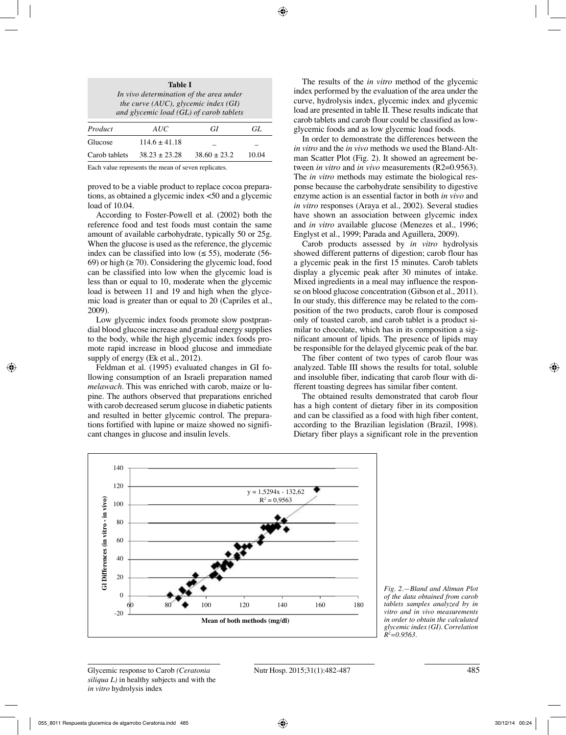| <b>Table I</b><br>In vivo determination of the area under<br>the curve (AUC), glycemic index $(GI)$<br>and glycemic load (GL) of carob tablets |                   |                  |     |  |  |
|------------------------------------------------------------------------------------------------------------------------------------------------|-------------------|------------------|-----|--|--|
| Product                                                                                                                                        | AUC               | GI               | GL. |  |  |
| Glucose                                                                                                                                        | $114.6 \pm 41.18$ |                  |     |  |  |
| Carob tablets                                                                                                                                  | $38.23 + 23.28$   | $38.60 \pm 23.2$ |     |  |  |

Each value represents the mean of seven replicates.

proved to be a viable product to replace cocoa preparations, as obtained a glycemic index <50 and a glycemic load of 10.04.

According to Foster-Powell et al. (2002) both the reference food and test foods must contain the same amount of available carbohydrate, typically 50 or 25g. When the glucose is used as the reference, the glycemic index can be classified into low  $(\leq 55)$ , moderate (56-69) or high  $(\geq 70)$ . Considering the glycemic load, food can be classified into low when the glycemic load is less than or equal to 10, moderate when the glycemic load is between 11 and 19 and high when the glycemic load is greater than or equal to 20 (Capriles et al., 2009).

Low glycemic index foods promote slow postprandial blood glucose increase and gradual energy supplies to the body, while the high glycemic index foods promote rapid increase in blood glucose and immediate supply of energy (Ek et al., 2012).

Feldman et al. (1995) evaluated changes in GI following consumption of an Israeli preparation named *melawach*. This was enriched with carob, maize or lupine. The authors observed that preparations enriched with carob decreased serum glucose in diabetic patients and resulted in better glycemic control. The preparations fortified with lupine or maize showed no significant changes in glucose and insulin levels.

The results of the *in vitro* method of the glycemic index performed by the evaluation of the area under the curve, hydrolysis index, glycemic index and glycemic load are presented in table II. These results indicate that carob tablets and carob flour could be classified as lowglycemic foods and as low glycemic load foods.

In order to demonstrate the differences between the *in vitro* and the *in vivo* methods we used the Bland-Altman Scatter Plot (Fig. 2). It showed an agreement between *in vitro* and *in vivo* measurements (R2=0.9563). The *in vitro* methods may estimate the biological response because the carbohydrate sensibility to digestive enzyme action is an essential factor in both *in vivo* and *in vitro* responses (Araya et al., 2002). Several studies have shown an association between glycemic index and *in vitro* available glucose (Menezes et al., 1996; Englyst et al., 1999; Parada and Aguillera, 2009).

Carob products assessed by *in vitro* hydrolysis showed different patterns of digestion; carob flour has a glycemic peak in the first 15 minutes. Carob tablets display a glycemic peak after 30 minutes of intake. Mixed ingredients in a meal may influence the response on blood glucose concentration (Gibson et al., 2011). In our study, this difference may be related to the composition of the two products, carob flour is composed only of toasted carob, and carob tablet is a product similar to chocolate, which has in its composition a significant amount of lipids. The presence of lipids may be responsible for the delayed glycemic peak of the bar.

The fiber content of two types of carob flour was analyzed. Table III shows the results for total, soluble and insoluble fiber, indicating that carob flour with different toasting degrees has similar fiber content.

The obtained results demonstrated that carob flour has a high content of dietary fiber in its composition and can be classified as a food with high fiber content, according to the Brazilian legislation (Brazil, 1998). Dietary fiber plays a significant role in the prevention



*Fig. 2.—Bland and Altman Plot of the data obtained from carob tablets samples analyzed by in vitro and in vivo measurements in order to obtain the calculated glycemic index (GI). Correlation R2 =0.9563.*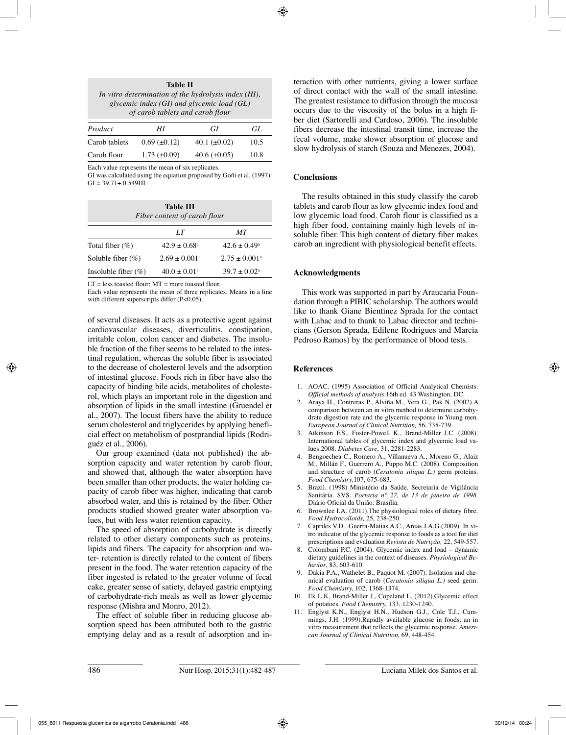| Table II                                                                                               |  |  |  |  |  |  |
|--------------------------------------------------------------------------------------------------------|--|--|--|--|--|--|
| In vitro determination of the hydrolysis index (HI),<br>glycemic index $(GI)$ and glycemic load $(GL)$ |  |  |  |  |  |  |
| of carob tablets and carob flour                                                                       |  |  |  |  |  |  |
| مسامعا                                                                                                 |  |  |  |  |  |  |

| Product       | ΗI                    | GI                | GL.  |
|---------------|-----------------------|-------------------|------|
| Carob tablets | $0.69$ ( $\pm 0.12$ ) | 40.1 $(\pm 0.02)$ | 10.5 |
| Carob flour   | $1.73 \ (\pm 0.09)$   | 40.6 $(\pm 0.05)$ | 10.8 |

Each value represents the mean of six replicates.

GI was calculated using the equation proposed by Goñi et al. (1997):  $GI = 39.71 + 0.549HI$ .

| <b>Table III</b><br>Fiber content of carob flour |                               |                          |  |  |
|--------------------------------------------------|-------------------------------|--------------------------|--|--|
|                                                  | LТ                            | MТ                       |  |  |
| Total fiber $(\%)$                               | $42.9 \pm 0.68$ <sup>a</sup>  | $42.6 \pm 0.49^{\circ}$  |  |  |
| Soluble fiber $(\%)$                             | $2.69 \pm 0.001$ <sup>a</sup> | $2.75 \pm 0.001^{\circ}$ |  |  |
| Insoluble fiber $(\%)$                           | $40.0 \pm 0.01^{\circ}$       | $39.7 \pm 0.02^{\circ}$  |  |  |

LT = less toasted flour; MT = more toasted flour.

Each value represents the mean of three replicates. Means in a line with different superscripts differ (P<0.05).

of several diseases. It acts as a protective agent against cardiovascular diseases, diverticulitis, constipation, irritable colon, colon cancer and diabetes. The insoluble fraction of the fiber seems to be related to the intestinal regulation, whereas the soluble fiber is associated to the decrease of cholesterol levels and the adsorption of intestinal glucose. Foods rich in fiber have also the capacity of binding bile acids, metabolites of cholesterol, which plays an important role in the digestion and absorption of lipids in the small intestine (Gruendel et al., 2007). The locust fibers have the ability to reduce serum cholesterol and triglycerides by applying beneficial effect on metabolism of postprandial lipids (Rodriguéz et al., 2006).

Our group examined (data not published) the absorption capacity and water retention by carob flour, and showed that, although the water absorption have been smaller than other products, the water holding capacity of carob fiber was higher, indicating that carob absorbed water, and this is retained by the fiber. Other products studied showed greater water absorption values, but with less water retention capacity.

The speed of absorption of carbohydrate is directly related to other dietary components such as proteins, lipids and fibers. The capacity for absorption and water- retention is directly related to the content of fibers present in the food. The water retention capacity of the fiber ingested is related to the greater volume of fecal cake, greater sense of satiety, delayed gastric emptying of carbohydrate-rich meals as well as lower glycemic response (Mishra and Monro, 2012).

The effect of soluble fiber in reducing glucose absorption speed has been attributed both to the gastric emptying delay and as a result of adsorption and interaction with other nutrients, giving a lower surface of direct contact with the wall of the small intestine. The greatest resistance to diffusion through the mucosa occurs due to the viscosity of the bolus in a high fiber diet (Sartorelli and Cardoso, 2006). The insoluble fibers decrease the intestinal transit time, increase the fecal volume, make slower absorption of glucose and slow hydrolysis of starch (Souza and Menezes, 2004).

## **Conclusions**

The results obtained in this study classify the carob tablets and carob flour as low glycemic index food and low glycemic load food. Carob flour is classified as a high fiber food, containing mainly high levels of insoluble fiber. This high content of dietary fiber makes carob an ingredient with physiological benefit effects.

# **Acknowledgments**

This work was supported in part by Araucaria Foundation through a PIBIC scholarship. The authors would like to thank Giane Bientinez Sprada for the contact with Labac and to thank to Labac director and technicians (Gerson Sprada, Edilene Rodrigues and Marcia Pedroso Ramos) by the performance of blood tests.

# **References**

- 1. AOAC. (1995) Association of Official Analytical Chemists. *Official methods of analysis*.16th ed. 43 Washington, DC.
- 2. Araya H., Contreras P., Alviña M., Vera G., Pak N. (2002).A comparison between an in vitro method to determine carbohydrate digestion rate and the glycemic response in Young men. *European Journal of Clinical Nutrition,* 56, 735-739.
- 3. Atkinson F.S., Foster-Powell K., Brand-Miller J.C. (2008). International tables of glycemic index and glycemic load values:2008. *Diabetes Care*, 31, 2281-2283.
- 4. Bengoechea C., Romero A., Villanueva A., Moreno G., Alaiz M., Millán F., Guerrero A., Puppo M.C. (2008). Composition and structure of carob (*Ceratonia siliqua L.)* germ proteins. *Food Chemistry,*107, 675-683.
- 5. Brazil. (1998) Ministério da Saúde. Secretaria de Vigilância Sanitária. SVS. *Portaria n° 27, de 13 de janeiro de 1998*. Diário Oficial da União. Brasília.
- 6. Brownlee I.A. (2011).The physiological roles of dietary fibre. *Food Hydrocolloids,* 25, 238-250.
- 7. Capriles V.D., Guerra-Matias A.C., Areas J.A.G.(2009). In vitro indicator of the glycemic response to foods as a tool for diet prescriptions and evaluation *Revista de Nutrição,* 22, 549-557.
- 8. Colombani P.C. (2004). Glycemic index and load dynamic dietary guidelines in the context of diseases. *Physiological Behavior*, 83, 603-610.
- Dakia P.A., Wathelet B., Paquot M. (2007). Isolation and chemical evaluation of carob (*Ceratonia siliqua L.)* seed germ. *Food Chemistry,* 102, 1368-1374.
- 10. Ek L.K, Brand-Miller J., Copeland L. (2012).Glycemic effect of potatoes. *Food Chemistry,* 133, 1230-1240.
- 11. Englyst K.N., Englyst H.N., Hudson G.J., Cole T.J., Cummings, J.H. (1999).Rapidly available glucose in foods: an in vitro measurement that reflects the glycemic response. *American Journal of Clinical Nutrition,* 69, 448-454.